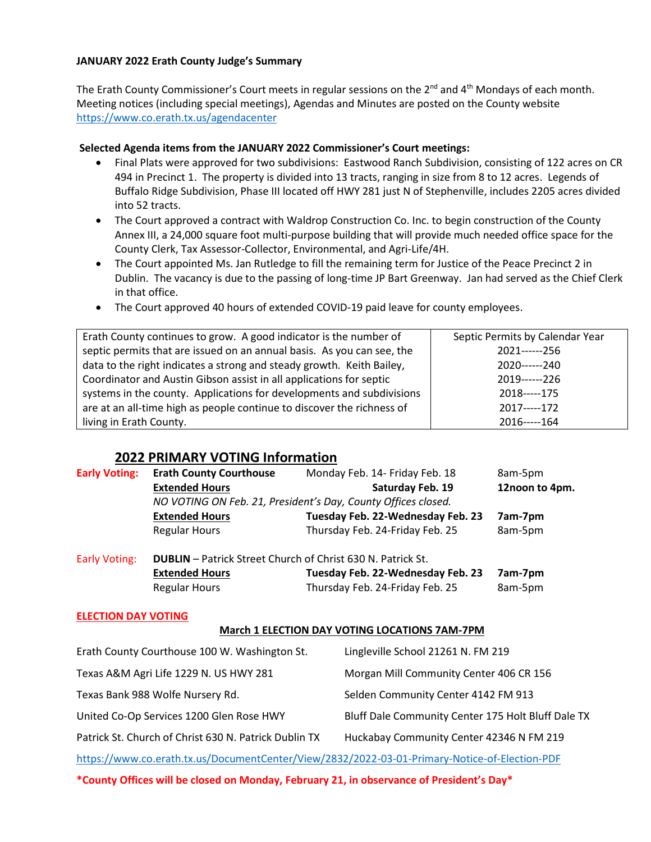#### **JANUARY 2022 Erath County Judge's Summary**

The Erath County Commissioner's Court meets in regular sessions on the  $2^{nd}$  and  $4^{th}$  Mondays of each month. Meeting notices (including special meetings), Agendas and Minutes are posted on the County website <https://www.co.erath.tx.us/agendacenter>

#### **Selected Agenda items from the JANUARY 2022 Commissioner's Court meetings:**

- Final Plats were approved for two subdivisions: Eastwood Ranch Subdivision, consisting of 122 acres on CR 494 in Precinct 1. The property is divided into 13 tracts, ranging in size from 8 to 12 acres. Legends of Buffalo Ridge Subdivision, Phase III located off HWY 281 just N of Stephenville, includes 2205 acres divided into 52 tracts.
- The Court approved a contract with Waldrop Construction Co. Inc. to begin construction of the County Annex III, a 24,000 square foot multi-purpose building that will provide much needed office space for the County Clerk, Tax Assessor-Collector, Environmental, and Agri-Life/4H.
- The Court appointed Ms. Jan Rutledge to fill the remaining term for Justice of the Peace Precinct 2 in Dublin. The vacancy is due to the passing of long-time JP Bart Greenway. Jan had served as the Chief Clerk in that office.
- The Court approved 40 hours of extended COVID-19 paid leave for county employees.

| Erath County continues to grow. A good indicator is the number of      | Septic Permits by Calendar Year |
|------------------------------------------------------------------------|---------------------------------|
| septic permits that are issued on an annual basis. As you can see, the | 2021------256                   |
| data to the right indicates a strong and steady growth. Keith Bailey,  | 2020------240                   |
| Coordinator and Austin Gibson assist in all applications for septic    | 2019------226                   |
| systems in the county. Applications for developments and subdivisions  | 2018-----175                    |
| are at an all-time high as people continue to discover the richness of | 2017-----172                    |
| living in Erath County.                                                | 2016-----164                    |

# **2022 PRIMARY VOTING Information**

| <b>Early Voting:</b>       | <b>Erath County Courthouse</b>                                     | Monday Feb. 14- Friday Feb. 18    | 8am-5pm        |  |
|----------------------------|--------------------------------------------------------------------|-----------------------------------|----------------|--|
|                            | <b>Extended Hours</b>                                              | Saturday Feb. 19                  | 12noon to 4pm. |  |
|                            | NO VOTING ON Feb. 21, President's Day, County Offices closed.      |                                   |                |  |
|                            | <b>Extended Hours</b>                                              | Tuesday Feb. 22-Wednesday Feb. 23 | 7am-7pm        |  |
|                            | <b>Regular Hours</b>                                               | Thursday Feb. 24-Friday Feb. 25   | 8am-5pm        |  |
| <b>Early Voting:</b>       | <b>DUBLIN</b> – Patrick Street Church of Christ 630 N. Patrick St. |                                   |                |  |
|                            | <b>Extended Hours</b>                                              | Tuesday Feb. 22-Wednesday Feb. 23 | 7am-7pm        |  |
|                            | <b>Regular Hours</b>                                               | Thursday Feb. 24-Friday Feb. 25   | 8am-5pm        |  |
| <b>ELECTION DAY VOTING</b> |                                                                    |                                   |                |  |

# **March 1 ELECTION DAY VOTING LOCATIONS 7AM-7PM**

| Erath County Courthouse 100 W. Washington St.         | Lingleville School 21261 N. FM 219                 |
|-------------------------------------------------------|----------------------------------------------------|
| Texas A&M Agri Life 1229 N. US HWY 281                | Morgan Mill Community Center 406 CR 156            |
| Texas Bank 988 Wolfe Nursery Rd.                      | Selden Community Center 4142 FM 913                |
| United Co-Op Services 1200 Glen Rose HWY              | Bluff Dale Community Center 175 Holt Bluff Dale TX |
| Patrick St. Church of Christ 630 N. Patrick Dublin TX | Huckabay Community Center 42346 N FM 219           |
|                                                       |                                                    |

<https://www.co.erath.tx.us/DocumentCenter/View/2832/2022-03-01-Primary-Notice-of-Election-PDF>

**\*County Offices will be closed on Monday, February 21, in observance of President's Day\***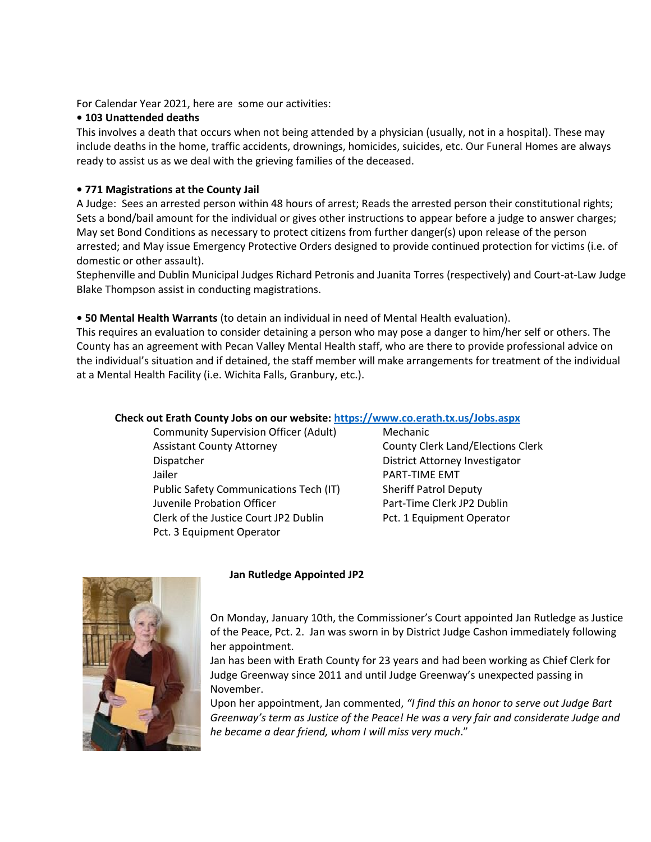For Calendar Year 2021, here are some our activities:

## **• 103 Unattended deaths**

This involves a death that occurs when not being attended by a physician (usually, not in a hospital). These may include deaths in the home, traffic accidents, drownings, homicides, suicides, etc. Our Funeral Homes are always ready to assist us as we deal with the grieving families of the deceased.

# **• 771 Magistrations at the County Jail**

A Judge: Sees an arrested person within 48 hours of arrest; Reads the arrested person their constitutional rights; Sets a bond/bail amount for the individual or gives other instructions to appear before a judge to answer charges; May set Bond Conditions as necessary to protect citizens from further danger(s) upon release of the person arrested; and May issue Emergency Protective Orders designed to provide continued protection for victims (i.e. of domestic or other assault).

Stephenville and Dublin Municipal Judges Richard Petronis and Juanita Torres (respectively) and Court-at-Law Judge Blake Thompson assist in conducting magistrations.

# **• 50 Mental Health Warrants** (to detain an individual in need of Mental Health evaluation).

This requires an evaluation to consider detaining a person who may pose a danger to him/her self or others. The County has an agreement with Pecan Valley Mental Health staff, who are there to provide professional advice on the individual's situation and if detained, the staff member will make arrangements for treatment of the individual at a Mental Health Facility (i.e. Wichita Falls, Granbury, etc.).

#### **Check out Erath County Jobs on our website:<https://www.co.erath.tx.us/Jobs.aspx>**

Community Supervision Officer (Adult) Mechanic Assistant County Attorney **County Clerk Land/Elections Clerk** County Attorney Dispatcher District Attorney Investigator Jailer **PART-TIME EMT** Public Safety Communications Tech (IT) Sheriff Patrol Deputy Juvenile Probation Officer **Part-Time Clerk JP2 Dublin** Clerk of the Justice Court JP2 Dublin Pct. 1 Equipment Operator Pct. 3 Equipment Operator



#### **Jan Rutledge Appointed JP2**

On Monday, January 10th, the Commissioner's Court appointed Jan Rutledge as Justice of the Peace, Pct. 2. Jan was sworn in by District Judge Cashon immediately following her appointment.

Jan has been with Erath County for 23 years and had been working as Chief Clerk for Judge Greenway since 2011 and until Judge Greenway's unexpected passing in November.

Upon her appointment, Jan commented, *"I find this an honor to serve out Judge Bart Greenway's term as Justice of the Peace! He was a very fair and considerate Judge and he became a dear friend, whom I will miss very much*."